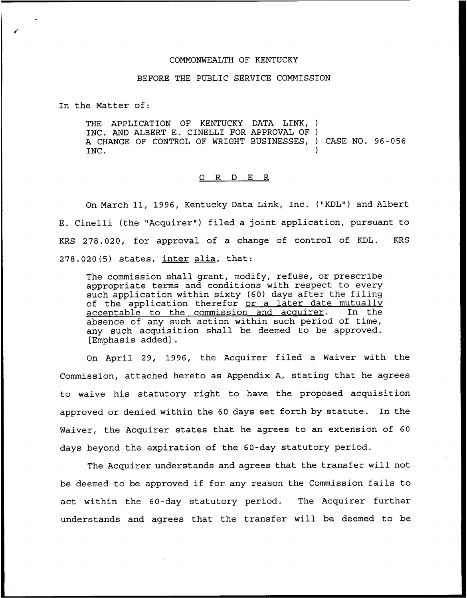## COMMONWEALTH OF KENTUCKY

### BEFORE THE PUBLIC SERVICE COMMISSION

In the Matter of:

THE APPLICATION OF KENTUCKY DATA LINK, ) INC. AND ALBERT E. CINELLI FOR APPROVAL OF ) A CHANGE OF CONTROL OF WRIGHT BUSINESSES, ) CASE NO. 96-056<br>INC. INC.

#### ORDER

On March 11, 1996, Kentucky Data Link, Inc. ("KDL") and Albert E. Cinelli (the "Acquirer" ) filed a joint application, pursuant to KRS 278.020, for approval of a change of control of KDL. KRS  $278.020(5)$  states, inter alia, that:

The commission shall grant, modify, refuse, or prescribe appropriate terms and conditions with respect to every such application within sixty (60) days after the filing of the application therefor or a later date mutuall acceptable to the commission and acquirer. In the absence of any such action within such period of time, any such acquisition shall be deemed to be approved. [Emphasis added] .

On April 29, 1996, the Acquirer filed a Waiver with the Commission, attached hereto as Appendix A, stating that he agrees to waive his statutory right to have the proposed acquisition approved or denied within the 60 days set forth by statute. In the Waiver, the Acquirer states that he agrees to an extension of 60 days beyond the expiration of the 60-day statutory period.

The Acquirer understands and agrees that the transfer will not be deemed to be approved if for any reason the Commission fails to act within the 60-day statutory period. The Acquirer further understands and agrees that the transfer will be deemed to be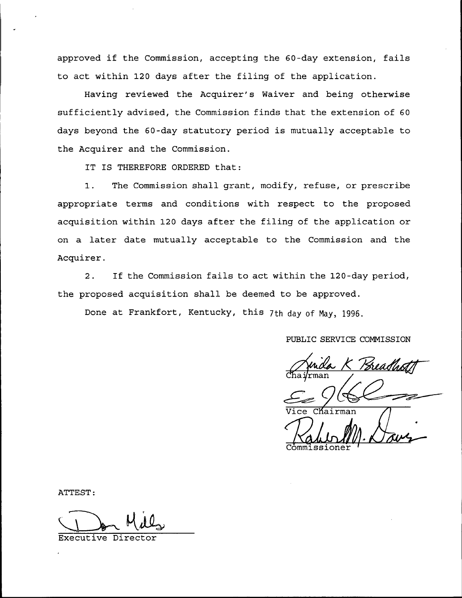approved if the Commission, accepting the 60-day extension, fails to act within 120 days after the filing of the application.

Having reviewed the Acquirer's Naiver and being otherwise sufficiently advised, the Commission finds that the extension of 60 days beyond the 60-day statutory period is mutually acceptable to the Acquirer and the Commission.

IT IS THEREFORE ORDERED that:

1. The Commission shall grant, modify, refuse, or prescribe appropriate terms and conditions with respect to the proposed acquisition within 120 days after the filing of the application or on a later date mutually acceptable to the Commission and the Acquirer.

 $2.$ If the Commission fails to act within the 120-day period, the proposed acquisition shall be deemed to be approved.

Done at Frankfort, Kentucky, this 7th day of May, 1996.

PUBLIC SERVICE COMMISSION

Kairman Commj.ssioner

ATTEST:

Executive Director